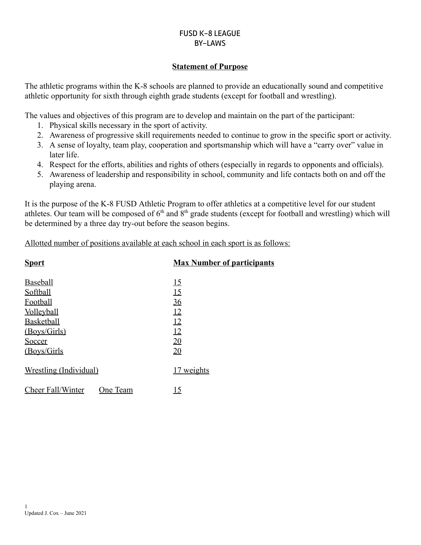## **Statement of Purpose**

The athletic programs within the K-8 schools are planned to provide an educationally sound and competitive athletic opportunity for sixth through eighth grade students (except for football and wrestling).

The values and objectives of this program are to develop and maintain on the part of the participant:

- 1. Physical skills necessary in the sport of activity.
- 2. Awareness of progressive skill requirements needed to continue to grow in the specific sport or activity.
- 3. A sense of loyalty, team play, cooperation and sportsmanship which will have a "carry over" value in later life.
- 4. Respect for the efforts, abilities and rights of others (especially in regards to opponents and officials).
- 5. Awareness of leadership and responsibility in school, community and life contacts both on and off the playing arena.

It is the purpose of the K-8 FUSD Athletic Program to offer athletics at a competitive level for our student athletes. Our team will be composed of  $6<sup>th</sup>$  and  $8<sup>th</sup>$  grade students (except for football and wrestling) which will be determined by a three day try-out before the season begins.

Allotted number of positions available at each school in each sport is as follows:

| <b>Sport</b>                  | <b>Max Number of participants</b> |
|-------------------------------|-----------------------------------|
| <b>Baseball</b>               | <u>15</u>                         |
| Softball                      | 15                                |
| Football                      | 36                                |
| <b>Volleyball</b>             | 12                                |
| <b>Basketball</b>             | 12                                |
| (Boys/Girls)                  | 12                                |
| Soccer                        | 20                                |
| (Boys/Girls)                  | 20                                |
| <u>Wrestling (Individual)</u> | <u>17 weights</u>                 |
| Cheer Fall/Winter<br>One Team | <u>15</u>                         |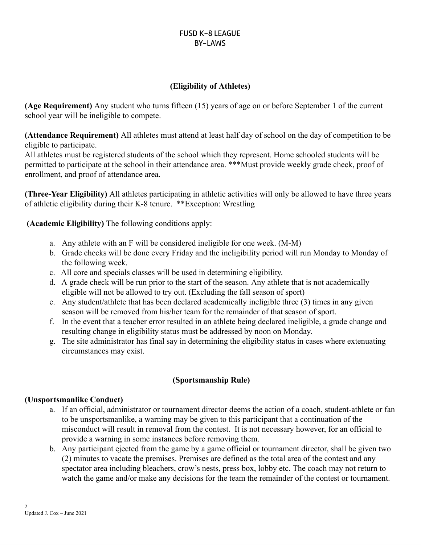## **(Eligibility of Athletes)**

**(Age Requirement)** Any student who turns fifteen (15) years of age on or before September 1 of the current school year will be ineligible to compete.

**(Attendance Requirement)** All athletes must attend at least half day of school on the day of competition to be eligible to participate.

All athletes must be registered students of the school which they represent. Home schooled students will be permitted to participate at the school in their attendance area. \*\*\*Must provide weekly grade check, proof of enrollment, and proof of attendance area.

**(Three-Year Eligibility)** All athletes participating in athletic activities will only be allowed to have three years of athletic eligibility during their K-8 tenure. \*\*Exception: Wrestling

**(Academic Eligibility)** The following conditions apply:

- a. Any athlete with an F will be considered ineligible for one week. (M-M)
- b. Grade checks will be done every Friday and the ineligibility period will run Monday to Monday of the following week.
- c. All core and specials classes will be used in determining eligibility.
- d. A grade check will be run prior to the start of the season. Any athlete that is not academically eligible will not be allowed to try out. (Excluding the fall season of sport)
- e. Any student/athlete that has been declared academically ineligible three (3) times in any given season will be removed from his/her team for the remainder of that season of sport.
- f. In the event that a teacher error resulted in an athlete being declared ineligible, a grade change and resulting change in eligibility status must be addressed by noon on Monday.
- g. The site administrator has final say in determining the eligibility status in cases where extenuating circumstances may exist.

### **(Sportsmanship Rule)**

### **(Unsportsmanlike Conduct)**

- a. If an official, administrator or tournament director deems the action of a coach, student-athlete or fan to be unsportsmanlike, a warning may be given to this participant that a continuation of the misconduct will result in removal from the contest. It is not necessary however, for an official to provide a warning in some instances before removing them.
- b. Any participant ejected from the game by a game official or tournament director, shall be given two (2) minutes to vacate the premises. Premises are defined as the total area of the contest and any spectator area including bleachers, crow's nests, press box, lobby etc. The coach may not return to watch the game and/or make any decisions for the team the remainder of the contest or tournament.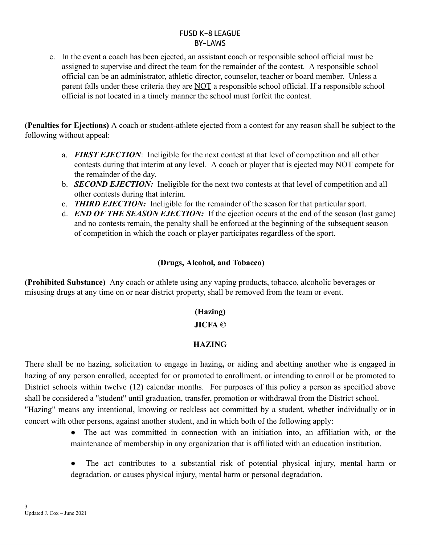c. In the event a coach has been ejected, an assistant coach or responsible school official must be assigned to supervise and direct the team for the remainder of the contest. A responsible school official can be an administrator, athletic director, counselor, teacher or board member. Unless a parent falls under these criteria they are NOT a responsible school official. If a responsible school official is not located in a timely manner the school must forfeit the contest.

**(Penalties for Ejections)** A coach or student-athlete ejected from a contest for any reason shall be subject to the following without appeal:

- a. *FIRST EJECTION*: Ineligible for the next contest at that level of competition and all other contests during that interim at any level. A coach or player that is ejected may NOT compete for the remainder of the day.
- b. *SECOND EJECTION:* Ineligible for the next two contests at that level of competition and all other contests during that interim.
- c. *THIRD EJECTION:* Ineligible for the remainder of the season for that particular sport.
- d. *END OF THE SEASON EJECTION:* If the ejection occurs at the end of the season (last game) and no contests remain, the penalty shall be enforced at the beginning of the subsequent season of competition in which the coach or player participates regardless of the sport.

## **(Drugs, Alcohol, and Tobacco)**

**(Prohibited Substance)** Any coach or athlete using any vaping products, tobacco, alcoholic beverages or misusing drugs at any time on or near district property, shall be removed from the team or event.

### **(Hazing)**

### **JICFA ©**

# **HAZING**

There shall be no hazing, solicitation to engage in hazing**,** or aiding and abetting another who is engaged in hazing of any person enrolled, accepted for or promoted to enrollment, or intending to enroll or be promoted to District schools within twelve (12) calendar months. For purposes of this policy a person as specified above shall be considered a "student" until graduation, transfer, promotion or withdrawal from the District school. "Hazing" means any intentional, knowing or reckless act committed by a student, whether individually or in concert with other persons, against another student, and in which both of the following apply:

- The act was committed in connection with an initiation into, an affiliation with, or the maintenance of membership in any organization that is affiliated with an education institution.
- The act contributes to a substantial risk of potential physical injury, mental harm or degradation, or causes physical injury, mental harm or personal degradation.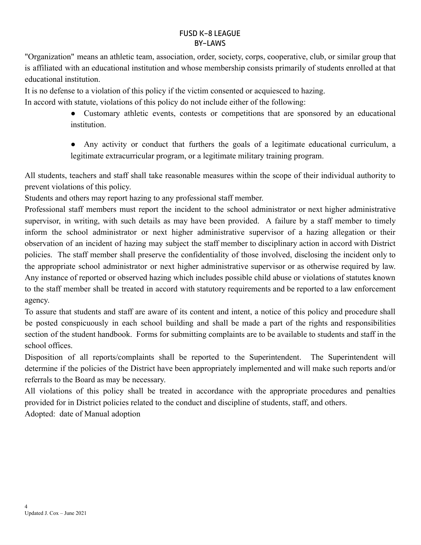"Organization" means an athletic team, association, order, society, corps, cooperative, club, or similar group that is affiliated with an educational institution and whose membership consists primarily of students enrolled at that educational institution.

It is no defense to a violation of this policy if the victim consented or acquiesced to hazing.

In accord with statute, violations of this policy do not include either of the following:

● Customary athletic events, contests or competitions that are sponsored by an educational institution.

● Any activity or conduct that furthers the goals of a legitimate educational curriculum, a legitimate extracurricular program, or a legitimate military training program.

All students, teachers and staff shall take reasonable measures within the scope of their individual authority to prevent violations of this policy.

Students and others may report hazing to any professional staff member.

Professional staff members must report the incident to the school administrator or next higher administrative supervisor, in writing, with such details as may have been provided. A failure by a staff member to timely inform the school administrator or next higher administrative supervisor of a hazing allegation or their observation of an incident of hazing may subject the staff member to disciplinary action in accord with District policies. The staff member shall preserve the confidentiality of those involved, disclosing the incident only to the appropriate school administrator or next higher administrative supervisor or as otherwise required by law. Any instance of reported or observed hazing which includes possible child abuse or violations of statutes known to the staff member shall be treated in accord with statutory requirements and be reported to a law enforcement agency.

To assure that students and staff are aware of its content and intent, a notice of this policy and procedure shall be posted conspicuously in each school building and shall be made a part of the rights and responsibilities section of the student handbook. Forms for submitting complaints are to be available to students and staff in the school offices.

Disposition of all reports/complaints shall be reported to the Superintendent. The Superintendent will determine if the policies of the District have been appropriately implemented and will make such reports and/or referrals to the Board as may be necessary.

All violations of this policy shall be treated in accordance with the appropriate procedures and penalties provided for in District policies related to the conduct and discipline of students, staff, and others.

Adopted: date of Manual adoption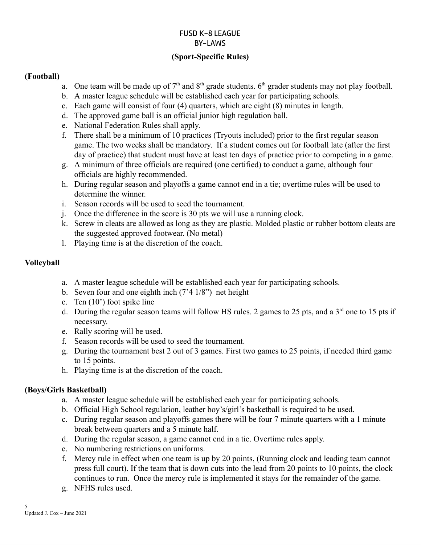# **(Sport-Specific Rules)**

### **(Football)**

- a. One team will be made up of  $7<sup>th</sup>$  and  $8<sup>th</sup>$  grade students. 6<sup>th</sup> grader students may not play football.
- b. A master league schedule will be established each year for participating schools.
- c. Each game will consist of four (4) quarters, which are eight (8) minutes in length.
- d. The approved game ball is an official junior high regulation ball.
- e. National Federation Rules shall apply.
- f. There shall be a minimum of 10 practices (Tryouts included) prior to the first regular season game. The two weeks shall be mandatory. If a student comes out for football late (after the first day of practice) that student must have at least ten days of practice prior to competing in a game.
- g. A minimum of three officials are required (one certified) to conduct a game, although four officials are highly recommended.
- h. During regular season and playoffs a game cannot end in a tie; overtime rules will be used to determine the winner.
- i. Season records will be used to seed the tournament.
- j. Once the difference in the score is 30 pts we will use a running clock.
- k. Screw in cleats are allowed as long as they are plastic. Molded plastic or rubber bottom cleats are the suggested approved footwear. (No metal)
- l. Playing time is at the discretion of the coach.

# **Volleyball**

- a. A master league schedule will be established each year for participating schools.
- b. Seven four and one eighth inch (7'4 1/8") net height
- c. Ten (10') foot spike line
- d. During the regular season teams will follow HS rules. 2 games to 25 pts, and a  $3<sup>rd</sup>$  one to 15 pts if necessary.
- e. Rally scoring will be used.
- f. Season records will be used to seed the tournament.
- g. During the tournament best 2 out of 3 games. First two games to 25 points, if needed third game to 15 points.
- h. Playing time is at the discretion of the coach.

# **(Boys/Girls Basketball)**

- a. A master league schedule will be established each year for participating schools.
- b. Official High School regulation, leather boy's/girl's basketball is required to be used.
- c. During regular season and playoffs games there will be four 7 minute quarters with a 1 minute break between quarters and a 5 minute half.
- d. During the regular season, a game cannot end in a tie. Overtime rules apply.
- e. No numbering restrictions on uniforms.
- f. Mercy rule in effect when one team is up by 20 points, (Running clock and leading team cannot press full court). If the team that is down cuts into the lead from 20 points to 10 points, the clock continues to run. Once the mercy rule is implemented it stays for the remainder of the game.
- g. NFHS rules used.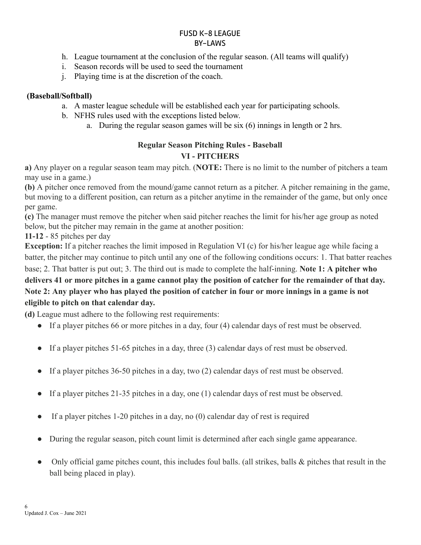- h. League tournament at the conclusion of the regular season. (All teams will qualify)
- i. Season records will be used to seed the tournament
- j. Playing time is at the discretion of the coach.

## **(Baseball/Softball)**

- a. A master league schedule will be established each year for participating schools.
- b. NFHS rules used with the exceptions listed below.
	- a. During the regular season games will be six (6) innings in length or 2 hrs.

# **Regular Season Pitching Rules - Baseball VI - PITCHERS**

**a)** Any player on a regular season team may pitch. (**NOTE:** There is no limit to the number of pitchers a team may use in a game.)

**(b)** A pitcher once removed from the mound/game cannot return as a pitcher. A pitcher remaining in the game, but moving to a different position, can return as a pitcher anytime in the remainder of the game, but only once per game.

**(c)** The manager must remove the pitcher when said pitcher reaches the limit for his/her age group as noted below, but the pitcher may remain in the game at another position:

**11-12** - 85 pitches per day

**Exception:** If a pitcher reaches the limit imposed in Regulation VI (c) for his/her league age while facing a batter, the pitcher may continue to pitch until any one of the following conditions occurs: 1. That batter reaches

# base; 2. That batter is put out; 3. The third out is made to complete the half-inning. **Note 1: A pitcher who** delivers 41 or more pitches in a game cannot play the position of catcher for the remainder of that day. Note 2: Any player who has played the position of catcher in four or more innings in a game is not **eligible to pitch on that calendar day.**

**(d)** League must adhere to the following rest requirements:

- If a player pitches 66 or more pitches in a day, four (4) calendar days of rest must be observed.
- If a player pitches 51-65 pitches in a day, three (3) calendar days of rest must be observed.
- If a player pitches  $36-50$  pitches in a day, two (2) calendar days of rest must be observed.
- If a player pitches 21-35 pitches in a day, one (1) calendar days of rest must be observed.
- If a player pitches 1-20 pitches in a day, no  $(0)$  calendar day of rest is required
- During the regular season, pitch count limit is determined after each single game appearance.
- Only official game pitches count, this includes foul balls. (all strikes, balls  $\&$  pitches that result in the ball being placed in play).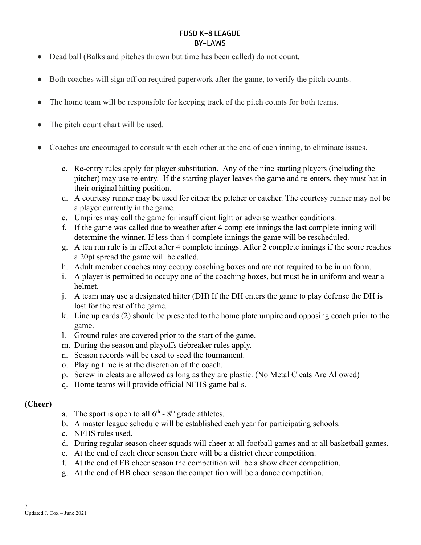- Dead ball (Balks and pitches thrown but time has been called) do not count.
- Both coaches will sign off on required paperwork after the game, to verify the pitch counts.
- The home team will be responsible for keeping track of the pitch counts for both teams.
- The pitch count chart will be used.
- Coaches are encouraged to consult with each other at the end of each inning, to eliminate issues.
	- c. Re-entry rules apply for player substitution. Any of the nine starting players (including the pitcher) may use re-entry. If the starting player leaves the game and re-enters, they must bat in their original hitting position.
	- d. A courtesy runner may be used for either the pitcher or catcher. The courtesy runner may not be a player currently in the game.
	- e. Umpires may call the game for insufficient light or adverse weather conditions.
	- f. If the game was called due to weather after 4 complete innings the last complete inning will determine the winner. If less than 4 complete innings the game will be rescheduled.
	- g. A ten run rule is in effect after 4 complete innings. After 2 complete innings if the score reaches a 20pt spread the game will be called.
	- h. Adult member coaches may occupy coaching boxes and are not required to be in uniform.
	- i. A player is permitted to occupy one of the coaching boxes, but must be in uniform and wear a helmet.
	- j. A team may use a designated hitter (DH) If the DH enters the game to play defense the DH is lost for the rest of the game.
	- k. Line up cards (2) should be presented to the home plate umpire and opposing coach prior to the game.
	- l. Ground rules are covered prior to the start of the game.
	- m. During the season and playoffs tiebreaker rules apply.
	- n. Season records will be used to seed the tournament.
	- o. Playing time is at the discretion of the coach.
	- p. Screw in cleats are allowed as long as they are plastic. (No Metal Cleats Are Allowed)
	- q. Home teams will provide official NFHS game balls.

### **(Cheer)**

- a. The sport is open to all  $6<sup>th</sup>$   $8<sup>th</sup>$  grade athletes.
- b. A master league schedule will be established each year for participating schools.
- c. NFHS rules used.
- d. During regular season cheer squads will cheer at all football games and at all basketball games.
- e. At the end of each cheer season there will be a district cheer competition.
- f. At the end of FB cheer season the competition will be a show cheer competition.
- g. At the end of BB cheer season the competition will be a dance competition.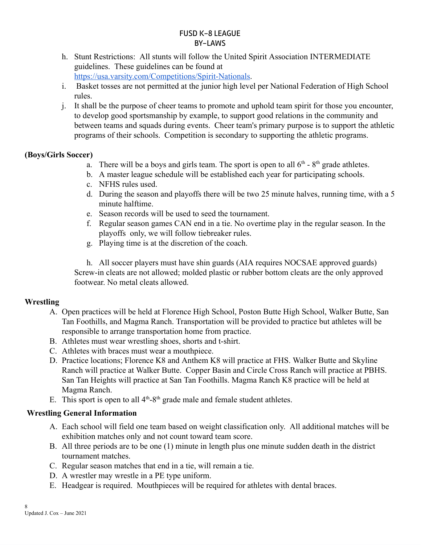- h. Stunt Restrictions: All stunts will follow the United Spirit Association INTERMEDIATE guidelines. These guidelines can be found at [https://usa.varsity.com/Competitions/Spirit-Nationals.](https://usa.varsity.com/Competitions/Spirit-Nationals)
- i. Basket tosses are not permitted at the junior high level per National Federation of High School rules.
- j. It shall be the purpose of cheer teams to promote and uphold team spirit for those you encounter, to develop good sportsmanship by example, to support good relations in the community and between teams and squads during events. Cheer team's primary purpose is to support the athletic programs of their schools. Competition is secondary to supporting the athletic programs.

### **(Boys/Girls Soccer)**

- a. There will be a boys and girls team. The sport is open to all  $6<sup>th</sup>$   $8<sup>th</sup>$  grade athletes.
- b. A master league schedule will be established each year for participating schools.
- c. NFHS rules used.
- d. During the season and playoffs there will be two 25 minute halves, running time, with a 5 minute halftime.
- e. Season records will be used to seed the tournament.
- f. Regular season games CAN end in a tie. No overtime play in the regular season. In the playoffs only, we will follow tiebreaker rules.
- g. Playing time is at the discretion of the coach.

h. All soccer players must have shin guards (AIA requires NOCSAE approved guards) Screw-in cleats are not allowed; molded plastic or rubber bottom cleats are the only approved footwear. No metal cleats allowed.

# **Wrestling**

- A. Open practices will be held at Florence High School, Poston Butte High School, Walker Butte, San Tan Foothills, and Magma Ranch. Transportation will be provided to practice but athletes will be responsible to arrange transportation home from practice.
- B. Athletes must wear wrestling shoes, shorts and t-shirt.
- C. Athletes with braces must wear a mouthpiece.
- D. Practice locations; Florence K8 and Anthem K8 will practice at FHS. Walker Butte and Skyline Ranch will practice at Walker Butte. Copper Basin and Circle Cross Ranch will practice at PBHS. San Tan Heights will practice at San Tan Foothills. Magma Ranch K8 practice will be held at Magma Ranch.
- E. This sport is open to all  $4<sup>th</sup>-8<sup>th</sup>$  grade male and female student athletes.

### **Wrestling General Information**

- A. Each school will field one team based on weight classification only. All additional matches will be exhibition matches only and not count toward team score.
- B. All three periods are to be one (1) minute in length plus one minute sudden death in the district tournament matches.
- C. Regular season matches that end in a tie, will remain a tie.
- D. A wrestler may wrestle in a PE type uniform.
- E. Headgear is required. Mouthpieces will be required for athletes with dental braces.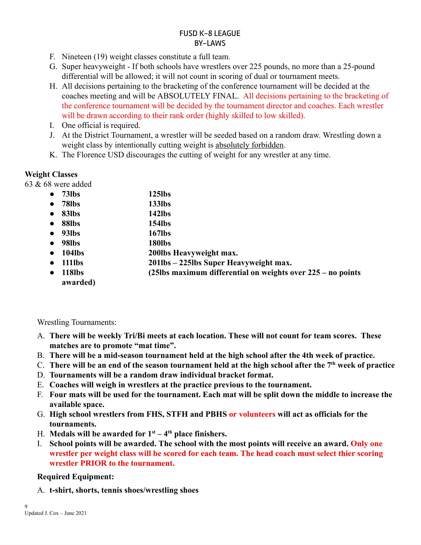- F. Nineteen (19) weight classes constitute a full team.
- G. Super heavyweight If both schools have wrestlers over 225 pounds, no more than a 25-pound differential will be allowed; it will not count in scoring of dual or tournament meets.
- H. All decisions pertaining to the bracketing of the conference tournament will be decided at the coaches meeting and will be ABSOLUTELY FINAL. All decisions pertaining to the bracketing of the conference tournament will be decided by the tournament director and coaches. Each wrestler will be drawn according to their rank order (highly skilled to low skilled).
- I. One official is required.
- J. At the District Tournament, a wrestler will be seeded based on a random draw. Wrestling down a weight class by intentionally cutting weight is absolutely forbidden.
- K. The Florence USD discourages the cutting of weight for any wrestler at any time.

### **Weight Classes**

63 & 68 were added

- **78lbs 133lbs**
- **83lbs 142lbs**
- **88lbs 154lbs**
- **93lbs 167lbs**
- **98lbs 180lbs**
- **104lbs 200lbs Heavyweight max.**
- **111lbs 201lbs – 225lbs Super Heavyweight max.**
- **118lbs (25lbs maximum differential on weights over 225 – no points awarded)**

Wrestling Tournaments:

- A. **There will be weekly Tri/Bi meets at each location. These will not count for team scores. These matches are to promote "mat time".**
- B. **There will be a mid-season tournament held at the high school after the 4th week of practice.**
- C. There will be an end of the season tournament held at the high school after the  $7<sup>th</sup>$  week of practice
- D. **Tournaments will be a random draw individual bracket format.**
- E. **Coaches will weigh in wrestlers at the practice previous to the tournament.**
- F. Four mats will be used for the tournament. Each mat will be split down the middle to increase the **available space.**
- G. **High school wrestlers from FHS, STFH and PBHS or volunteers will act as officials for the tournaments.**
- H. Medals will be awarded for  $1<sup>st</sup> 4<sup>th</sup>$  place finishers.
- I. **School points will be awarded. The school with the most points will receive an award. Only one wrestler per weight class will be scored for each team. The head coach must select thier scoring wrestler PRIOR to the tournament.**

# **Required Equipment:**

A. **t-shirt, shorts, tennis shoes/wrestling shoes**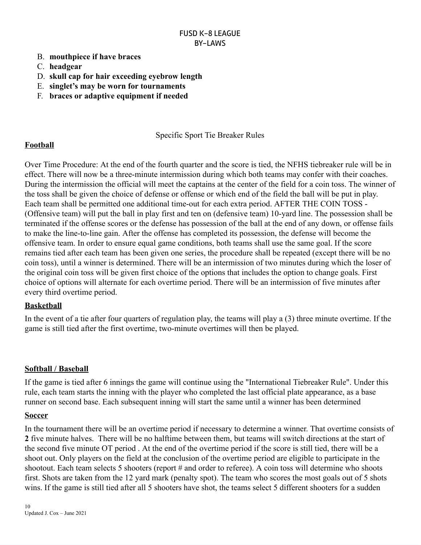- B. **mouthpiece if have braces**
- C. **headgear**
- D. **skull cap for hair exceeding eyebrow length**
- E. **singlet's may be worn for tournaments**
- F. **braces or adaptive equipment if needed**

### Specific Sport Tie Breaker Rules

### **Football**

Over Time Procedure: At the end of the fourth quarter and the score is tied, the NFHS tiebreaker rule will be in effect. There will now be a three-minute intermission during which both teams may confer with their coaches. During the intermission the official will meet the captains at the center of the field for a coin toss. The winner of the toss shall be given the choice of defense or offense or which end of the field the ball will be put in play. Each team shall be permitted one additional time-out for each extra period. AFTER THE COIN TOSS - (Offensive team) will put the ball in play first and ten on (defensive team) 10-yard line. The possession shall be terminated if the offense scores or the defense has possession of the ball at the end of any down, or offense fails to make the line-to-line gain. After the offense has completed its possession, the defense will become the offensive team. In order to ensure equal game conditions, both teams shall use the same goal. If the score remains tied after each team has been given one series, the procedure shall be repeated (except there will be no coin toss), until a winner is determined. There will be an intermission of two minutes during which the loser of the original coin toss will be given first choice of the options that includes the option to change goals. First choice of options will alternate for each overtime period. There will be an intermission of five minutes after every third overtime period.

### **Basketball**

In the event of a tie after four quarters of regulation play, the teams will play a (3) three minute overtime. If the game is still tied after the first overtime, two-minute overtimes will then be played.

### **Softball / Baseball**

If the game is tied after 6 innings the game will continue using the "International Tiebreaker Rule". Under this rule, each team starts the inning with the player who completed the last official plate appearance, as a base runner on second base. Each subsequent inning will start the same until a winner has been determined

#### **Soccer**

In the tournament there will be an overtime period if necessary to determine a winner. That overtime consists of **2** five minute halves. There will be no halftime between them, but teams will switch directions at the start of the second five minute OT period . At the end of the overtime period if the score is still tied, there will be a shoot out. Only players on the field at the conclusion of the overtime period are eligible to participate in the shootout. Each team selects 5 shooters (report # and order to referee). A coin toss will determine who shoots first. Shots are taken from the 12 yard mark (penalty spot). The team who scores the most goals out of 5 shots wins. If the game is still tied after all 5 shooters have shot, the teams select 5 different shooters for a sudden